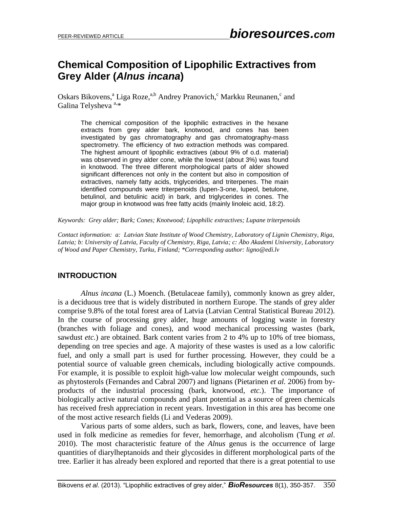# **Chemical Composition of Lipophilic Extractives from Grey Alder (***Alnus incana***)**

Oskars Bikovens,<sup>a</sup> Liga Roze,<sup>a,b</sup> Andrey Pranovich,<sup>c</sup> Markku Reunanen,<sup>c</sup> and Galina Telysheva<sup>a,\*</sup>

The chemical composition of the lipophilic extractives in the hexane extracts from grey alder bark, knotwood, and cones has been investigated by gas chromatography and gas chromatography-mass spectrometry. The efficiency of two extraction methods was compared. The highest amount of lipophilic extractives (about 9% of o.d. material) was observed in grey alder cone, while the lowest (about 3%) was found in knotwood. The three different morphological parts of alder showed significant differences not only in the content but also in composition of extractives, namely fatty acids, triglycerides, and triterpenes. The main identified compounds were triterpenoids (lupen-3-one, lupeol, betulone, betulinol, and betulinic acid) in bark, and triglycerides in cones. The major group in knotwood was free fatty acids (mainly linoleic acid, 18:2).

*Keywords: Grey alder; Bark; Cones; Knotwood; Lipophilic extractives; Lupane triterpenoids*

*Contact information: a: Latvian State Institute of Wood Chemistry, Laboratory of Lignin Chemistry, Riga, Latvia; b: University of Latvia, Faculty of Chemistry, Riga, Latvia; c: Åbo Akademi University, Laboratory of Wood and Paper Chemistry, Turku, Finland; \*Corresponding author: ligno@edi.lv*

# **INTRODUCTION**

*Alnus incana* (L.) Moench. (Betulaceae family), commonly known as grey alder, is a deciduous tree that is widely distributed in northern Europe. The stands of grey alder comprise 9.8% of the total forest area of Latvia (Latvian Central Statistical Bureau 2012). In the course of processing grey alder, huge amounts of logging waste in forestry (branches with foliage and cones), and wood mechanical processing wastes (bark, sawdust *etc.*) are obtained. Bark content varies from 2 to 4% up to 10% of tree biomass, depending on tree species and age. A majority of these wastes is used as a low calorific fuel, and only a small part is used for further processing. However, they could be a potential source of valuable green chemicals, including biologically active compounds. For example, it is possible to exploit high-value low molecular weight compounds, such as phytosterols (Fernandes and Cabral 2007) and lignans (Pietarinen *et al.* 2006) from byproducts of the industrial processing (bark, knotwood, *etc.*). The importance of biologically active natural compounds and plant potential as a source of green chemicals has received fresh appreciation in recent years. Investigation in this area has become one of the most active research fields (Li and Vederas 2009).

Various parts of some alders, such as bark, flowers, cone, and leaves, have been used in folk medicine as remedies for fever, hemorrhage, and alcoholism (Tung *et al*. 2010). The most characteristic feature of the *Alnus* genus is the occurrence of large quantities of diarylheptanoids and their glycosides in different morphological parts of the tree. Earlier it has already been explored and reported that there is a great potential to use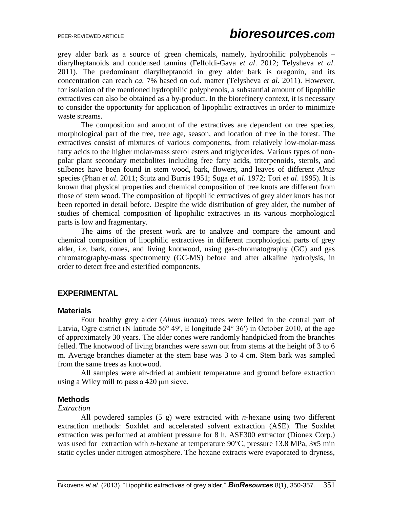grey alder bark as a source of green chemicals, namely, hydrophilic polyphenols – diarylheptanoids and condensed tannins (Felfoldi-Gava *et al*. 2012; Telysheva *et al*. 2011). The predominant diarylheptanoid in grey alder bark is oregonin, and its concentration can reach *ca.* 7% based on o.d. matter (Telysheva *et al*. 2011). However, for isolation of the mentioned hydrophilic polyphenols, a substantial amount of lipophilic extractives can also be obtained as a by-product. In the biorefinery context, it is necessary to consider the opportunity for application of lipophilic extractives in order to minimize waste streams.

The composition and amount of the extractives are dependent on tree species, morphological part of the tree, tree age, season, and location of tree in the forest. The extractives consist of mixtures of various components, from relatively low-molar-mass fatty acids to the higher molar-mass sterol esters and triglycerides. Various types of nonpolar plant secondary metabolites including free fatty acids, triterpenoids, sterols, and stilbenes have been found in stem wood, bark, flowers, and leaves of different *Alnus* species (Phan *et al*. 2011; Stutz and Burris 1951; Suga *et al*. 1972; Tori *et al*. 1995). It is known that physical properties and chemical composition of tree knots are different from those of stem wood. The composition of lipophilic extractives of grey alder knots has not been reported in detail before. Despite the wide distribution of grey alder, the number of studies of chemical composition of lipophilic extractives in its various morphological parts is low and fragmentary.

The aims of the present work are to analyze and compare the amount and chemical composition of lipophilic extractives in different morphological parts of grey alder, *i.e*. bark, cones, and living knotwood, using gas-chromatography (GC) and gas chromatography-mass spectrometry (GC-MS) before and after alkaline hydrolysis, in order to detect free and esterified components.

# **EXPERIMENTAL**

## **Materials**

Four healthy grey alder (*Alnus incana*) trees were felled in the central part of Latvia, Ogre district (N latitude 56° 49′, E longitude 24° 36′) in October 2010, at the age of approximately 30 years. The alder cones were randomly handpicked from the branches felled. The knotwood of living branches were sawn out from stems at the height of 3 to 6 m. Average branches diameter at the stem base was 3 to 4 cm. Stem bark was sampled from the same trees as knotwood.

All samples were air-dried at ambient temperature and ground before extraction using a Wiley mill to pass a 420 μm sieve.

## **Methods**

#### *Extraction*

All powdered samples (5 g) were extracted with *n*-hexane using two different extraction methods: Soxhlet and accelerated solvent extraction (ASE). The Soxhlet extraction was performed at ambient pressure for 8 h. ASE300 extractor (Dionex Corp.) was used for extraction with *n*-hexane at temperature 90°C, pressure 13.8 MPa, 3x5 min static cycles under nitrogen atmosphere. The hexane extracts were evaporated to dryness,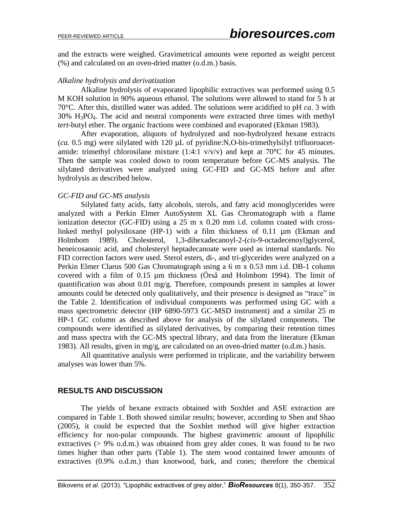and the extracts were weighed. Gravimetrical amounts were reported as weight percent (%) and calculated on an oven-dried matter (o.d.m.) basis.

#### *Alkaline hydrolysis and derivatization*

Alkaline hydrolysis of evaporated lipophilic extractives was performed using 0.5 M KOH solution in 90% aqueous ethanol. The solutions were allowed to stand for 5 h at 70°C. After this, distilled water was added. The solutions were acidified to pH *ca*. 3 with  $30\%$  H<sub>3</sub>PO<sub>4</sub>. The acid and neutral components were extracted three times with methyl *tert*-butyl ether. The organic fractions were combined and evaporated (Ekman 1983).

After evaporation, aliquots of hydrolyzed and non-hydrolyzed hexane extracts (*ca.* 0.5 mg) were silylated with 120 µL of pyridine:N,O-bis-trimethylsilyl trifluoroacetamide: trimethyl chlorosilane mixture (1:4:1 v/v/v) and kept at 70**°**C for 45 minutes. Then the sample was cooled down to room temperature before GC-MS analysis. The silylated derivatives were analyzed using GC-FID and GC-MS before and after hydrolysis as described below.

#### *GC-FID and GC-MS analysis*

Silylated fatty acids, fatty alcohols, sterols, and fatty acid monoglycerides were analyzed with a Perkin Elmer AutoSystem XL Gas Chromatograph with a flame ionization detector (GC-FID) using a 25 m x 0.20 mm i.d. column coated with crosslinked methyl polysiloxane (HP-1) with a film thickness of 0.11 µm (Ekman and Holmbom 1989). Cholesterol, 1,3-dihexadecanoyl-2-(*cis*-9-octadecenoyl)glycerol, heneicosanoic acid, and cholesteryl heptadecanoate were used as internal standards. No FID correction factors were used. Sterol esters, di-, and tri-glycerides were analyzed on a Perkin Elmer Clarus 500 Gas Chromatograph using a 6 m x 0.53 mm i.d. DB-1 column covered with a film of 0.15 µm thickness (Örså and Holmbom 1994). The limit of quantification was about 0.01 mg/g. Therefore, compounds present in samples at lower amounts could be detected only qualitatively, and their presence is designed as "trace" in the Table 2. Identification of individual components was performed using GC with a mass spectrometric detector (HP 6890-5973 GC-MSD instrument) and a similar 25 m HP-1 GC column as described above for analysis of the silylated components. The compounds were identified as silylated derivatives, by comparing their retention times and mass spectra with the GC-MS spectral library, and data from the literature (Ekman 1983). All results, given in mg/g, are calculated on an oven-dried matter (o.d.m.) basis.

All quantitative analysis were performed in triplicate, and the variability between analyses was lower than 5%.

## **RESULTS AND DISCUSSION**

The yields of hexane extracts obtained with Soxhlet and ASE extraction are compared in Table 1. Both showed similar results; however, according to Shen and Shao (2005), it could be expected that the Soxhlet method will give higher extraction efficiency for non-polar compounds. The highest gravimetric amount of lipophilic extractives (> 9% o.d.m.) was obtained from grey alder cones. It was found to be two times higher than other parts (Table 1). The stem wood contained lower amounts of extractives (0.9% o.d.m.) than knotwood, bark, and cones; therefore the chemical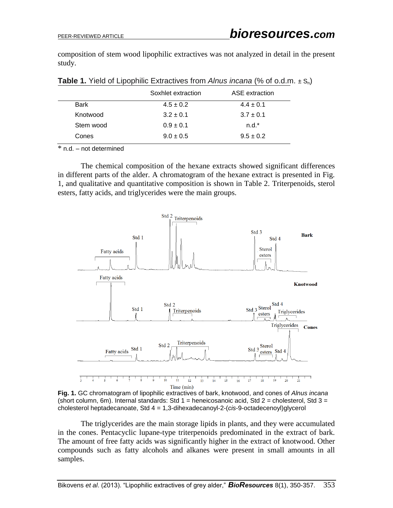composition of stem wood lipophilic extractives was not analyzed in detail in the present study.

|           | Soxhlet extraction | ASE extraction |
|-----------|--------------------|----------------|
| Bark      | $4.5 \pm 0.2$      | $4.4 \pm 0.1$  |
| Knotwood  | $3.2 \pm 0.1$      | $3.7 \pm 0.1$  |
| Stem wood | $0.9 \pm 0.1$      | $n.d.*$        |
| Cones     | $9.0 \pm 0.5$      | $9.5 \pm 0.2$  |

| <b>Table 1.</b> Yield of Lipophilic Extractives from Alnus incana (% of o.d.m. $\pm$ S <sub>n</sub> ) |  |  |  |  |  |  |  |  |  |
|-------------------------------------------------------------------------------------------------------|--|--|--|--|--|--|--|--|--|
|-------------------------------------------------------------------------------------------------------|--|--|--|--|--|--|--|--|--|

\* n.d. – not determined

The chemical composition of the hexane extracts showed significant differences in different parts of the alder. A chromatogram of the hexane extract is presented in Fig. 1, and qualitative and quantitative composition is shown in Table 2. Triterpenoids, sterol esters, fatty acids, and triglycerides were the main groups.



**Fig. 1.** GC chromatogram of lipophilic extractives of bark, knotwood, and cones of *Alnus incana* (short column, 6m). Internal standards: Std 1 = heneicosanoic acid, Std 2 = cholesterol, Std 3 = cholesterol heptadecanoate, Std 4 = 1,3-dihexadecanoyl-2-(*cis*-9-octadecenoyl)glycerol

The triglycerides are the main storage lipids in plants, and they were accumulated in the cones. Pentacyclic lupane-type triterpenoids predominated in the extract of bark. The amount of free fatty acids was significantly higher in the extract of knotwood. Other compounds such as fatty alcohols and alkanes were present in small amounts in all samples.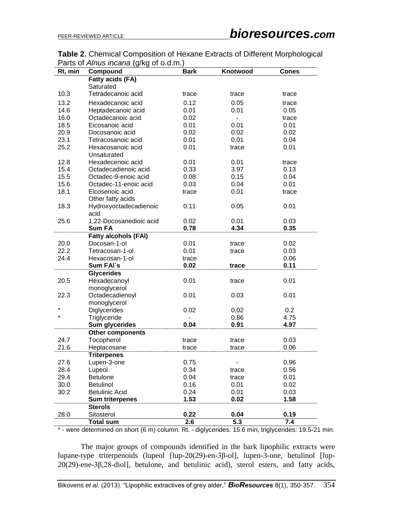| Rt, min      | $\alpha$ , $\beta$ of $\gamma$ <i>m</i> $\alpha$ o <i>m</i> $\alpha$ <i>m</i> $\alpha$<br>Compound | <b>Bark</b> | Knotwood       | <b>Cones</b> |
|--------------|----------------------------------------------------------------------------------------------------|-------------|----------------|--------------|
|              | Fatty acids (FA)                                                                                   |             |                |              |
|              | Saturated                                                                                          |             |                |              |
| 10.3         | Tetradecanoic acid                                                                                 | trace       | trace          | trace        |
| 13.2         | Hexadecanoic acid                                                                                  | 0.12        | 0.05           | trace        |
| 14.6         | Heptadecanoic acid                                                                                 | 0.01        | 0.01           | 0.05         |
| 16.0         | Octadecanoic acid                                                                                  | 0.02        | $\blacksquare$ | trace        |
| 18.5         | Eicosanoic acid                                                                                    | 0.01        | 0.01           | 0.01         |
| 20.9         | Docosanoic acid                                                                                    | 0.02        | 0.02           | 0.02         |
| 23.1         | Tetracosanoic acid                                                                                 | 0.01        | 0.01           | 0.04         |
| 25.2         | Hexacosanoic acid                                                                                  | 0.01        | trace          | 0.01         |
|              | Unsaturated                                                                                        |             |                |              |
| 12.8         | Hexadecenoic acid                                                                                  | 0.01        | 0.01           | trace        |
| 15.4         | Octadecadienoic acid                                                                               | 0.33        | 3.97           | 0.13         |
| 15.5         | Octadec-9-enoic acid                                                                               | 0.08        | 0.15           | 0.04         |
| 15.6         | Octadec-11-enoic acid                                                                              | 0.03        | 0.04           | 0.01         |
| 18.1         | Eicosenoic acid                                                                                    | trace       | 0.01           | trace        |
|              | Other fatty acids                                                                                  |             |                |              |
| 18.3         | Hydroxyoctadecadienoic                                                                             | 0.11        | 0.05           | 0.01         |
|              | acid                                                                                               |             |                |              |
| 25.6         | 1,22-Docosanedioic acid                                                                            | 0.02        | 0.01           | 0.03         |
|              | <b>Sum FA</b>                                                                                      | 0.78        | 4.34           | 0.35         |
|              | <b>Fatty alcohols (FAI)</b>                                                                        |             |                |              |
| 20.0         | Docosan-1-ol                                                                                       | 0.01        | trace          | 0.02         |
| 22.2         | Tetracosan-1-ol                                                                                    | 0.01        | trace          | 0.03         |
| 24.4         | Hexacosan-1-ol                                                                                     | trace       |                | 0.06         |
|              | Sum FAI's                                                                                          | 0.02        | trace          | 0.11         |
|              | <b>Glycerides</b>                                                                                  |             |                |              |
| 20.5         | Hexadecanoyl                                                                                       | 0.01        | trace          | 0.01         |
|              | monoglycerol                                                                                       |             |                |              |
| 22.3         | Octadecadienoyl                                                                                    | 0.01        | 0.03           | 0.01         |
|              | monoglycerol                                                                                       |             |                |              |
| *<br>$\star$ | Diglycerides                                                                                       | 0.02        | 0.02           | 0.2          |
|              | Triglyceride                                                                                       |             | 0.86           | 4.75         |
|              | Sum glycerides                                                                                     | 0.04        | 0.91           | 4.97         |
|              | <b>Other components</b>                                                                            |             |                |              |
| 24.7         | Tocopherol                                                                                         | trace       | trace          | 0.03         |
| 21.6         | Heptacosane                                                                                        | trace       | trace          | 0.06         |
|              | Triterpenes                                                                                        |             |                |              |
| 27.6         | Lupen-3-one                                                                                        | 0.75        |                | 0.96         |
| 28.4         | Lupeol                                                                                             | 0.34        | trace          | 0.56         |
| 29.4         | <b>Betulone</b>                                                                                    | 0.04        | trace          | 0.01         |
| 30.0         | <b>Betulinol</b>                                                                                   | 0.16        | 0.01           | 0.02         |
| 30.2         | <b>Betulinic Acid</b>                                                                              | 0.24        | 0.01           | 0.03         |
|              | <b>Sum triterpenes</b>                                                                             | 1.53        | 0.02           | 1.58         |
|              | <b>Sterols</b>                                                                                     |             |                |              |
| 28.0         | Sitosterol                                                                                         | 0.22        | 0.04           | 0.19         |
|              | <b>Total sum</b>                                                                                   | 2.6         | 5.3            | 7.4          |

**Table 2.** Chemical Composition of Hexane Extracts of Different Morphological Parts of *Alnus incana* (g/kg of o.d.m.)

\* - were determined on short (6 m) column. Rt. - diglycerides: 15.6 min, triglycerides: 19.5-21 min.

The major groups of compounds identified in the bark lipophilic extracts were lupane-type triterpenoids (lupeol [lup-20(29)-en-3β-ol], lupen-3-one, betulinol [lup-20(29)-ene-3β,28-diol], betulone, and betulinic acid), sterol esters, and fatty acids,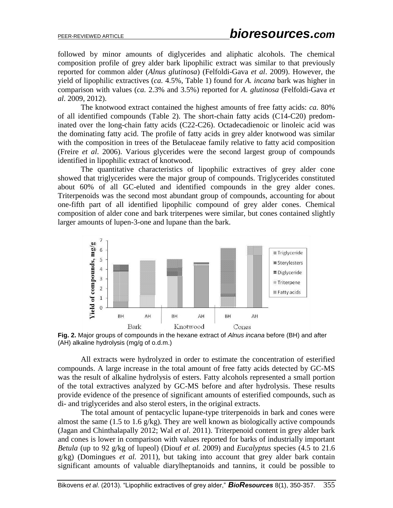followed by minor amounts of diglycerides and aliphatic alcohols. The chemical composition profile of grey alder bark lipophilic extract was similar to that previously reported for common alder (*Alnus glutinosa*) (Felfoldi-Gava *et al*. 2009). However, the yield of lipophilic extractives (*ca.* 4.5%, Table 1) found for *A. incana* bark was higher in comparison with values (*ca.* 2.3% and 3.5%) reported for *A. glutinosa* (Felfoldi-Gava *et al*. 2009, 2012).

The knotwood extract contained the highest amounts of free fatty acids: *ca.* 80% of all identified compounds (Table 2). The short-chain fatty acids (C14-C20) predominated over the long-chain fatty acids (C22-C26). Octadecadienoic or linoleic acid was the dominating fatty acid. The profile of fatty acids in grey alder knotwood was similar with the composition in trees of the Betulaceae family relative to fatty acid composition (Freire *et al*. 2006). Various glycerides were the second largest group of compounds identified in lipophilic extract of knotwood.

The quantitative characteristics of lipophilic extractives of grey alder cone showed that triglycerides were the major group of compounds. Triglycerides constituted about 60% of all GC-eluted and identified compounds in the grey alder cones. Triterpenoids was the second most abundant group of compounds, accounting for about one-fifth part of all identified lipophilic compound of grey alder cones. Chemical composition of alder cone and bark triterpenes were similar, but cones contained slightly larger amounts of lupen-3-one and lupane than the bark.



**Fig. 2.** Major groups of compounds in the hexane extract of *Alnus incana* before (BH) and after (AH) alkaline hydrolysis (mg/g of o.d.m.)

All extracts were hydrolyzed in order to estimate the concentration of esterified compounds. A large increase in the total amount of free fatty acids detected by GC-MS was the result of alkaline hydrolysis of esters. Fatty alcohols represented a small portion of the total extractives analyzed by GC-MS before and after hydrolysis. These results provide evidence of the presence of significant amounts of esterified compounds, such as di- and triglycerides and also sterol esters, in the original extracts.

The total amount of pentacyclic lupane-type triterpenoids in bark and cones were almost the same (1.5 to 1.6 g/kg). They are well known as biologically active compounds (Jagan and Chinthalapally 2012; Wal *et al*. 2011). Triterpenoid content in grey alder bark and cones is lower in comparison with values reported for barks of industrially important *Betula* (up to 92 g/kg of lupeol) (Diouf *et al.* 2009) and *Eucalyptus* species (4.5 to 21.6 g/kg) (Domingues *et al.* 2011), but taking into account that grey alder bark contain significant amounts of valuable diarylheptanoids and tannins, it could be possible to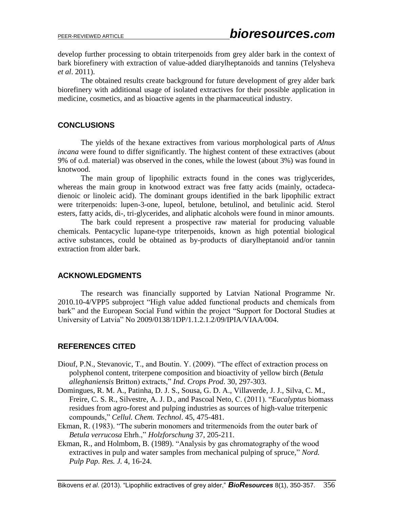develop further processing to obtain triterpenoids from grey alder bark in the context of bark biorefinery with extraction of value-added diarylheptanoids and tannins (Telysheva *et al*. 2011).

The obtained results create background for future development of grey alder bark biorefinery with additional usage of isolated extractives for their possible application in medicine, cosmetics, and as bioactive agents in the pharmaceutical industry.

# **CONCLUSIONS**

The yields of the hexane extractives from various morphological parts of *Alnus incana* were found to differ significantly. The highest content of these extractives (about 9% of o.d. material) was observed in the cones, while the lowest (about 3%) was found in knotwood.

The main group of lipophilic extracts found in the cones was triglycerides, whereas the main group in knotwood extract was free fatty acids (mainly, octadecadienoic or linoleic acid). The dominant groups identified in the bark lipophilic extract were triterpenoids: lupen-3-one, lupeol, betulone, betulinol, and betulinic acid. Sterol esters, fatty acids, di-, tri-glycerides, and aliphatic alcohols were found in minor amounts.

The bark could represent a prospective raw material for producing valuable chemicals. Pentacyclic lupane-type triterpenoids, known as high potential biological active substances, could be obtained as by-products of diarylheptanoid and/or tannin extraction from alder bark.

# **ACKNOWLEDGMENTS**

The research was financially supported by Latvian National Programme Nr. 2010.10-4/VPP5 subproject "High value added functional products and chemicals from bark" and the European Social Fund within the project "Support for Doctoral Studies at University of Latvia" No 2009/0138/1DP/1.1.2.1.2/09/IPIA/VIAA/004.

# **REFERENCES CITED**

- Diouf, P.N., Stevanovic, T., and Boutin. Y. (2009). "The effect of extraction process on polyphenol content, triterpene composition and bioactivity of yellow birch (*Betula alleghaniensis* Britton) extracts," *Ind. Crops Prod*. 30, 297-303.
- Domingues, R. M. A., Patinha, D. J. S., Sousa, G. D. A., Villaverde, J. J., Silva, C. M., Freire, C. S. R., Silvestre, A. J. D., and Pascoal Neto, C. (2011). "*Eucalyptus* biomass residues from agro-forest and pulping industries as sources of high-value triterpenic compounds," *Cellul. Chem. Technol*. 45, 475-481.
- Ekman, R. (1983). "The suberin monomers and tritermenoids from the outer bark of *Betula verrucosa* Ehrh.," *Holzforschung* 37, 205-211.
- Ekman, R., and Holmbom, B. (1989). "Analysis by gas chromatography of the wood extractives in pulp and water samples from mechanical pulping of spruce," *Nord. Pulp Pap. Res. J.* 4, 16-24.